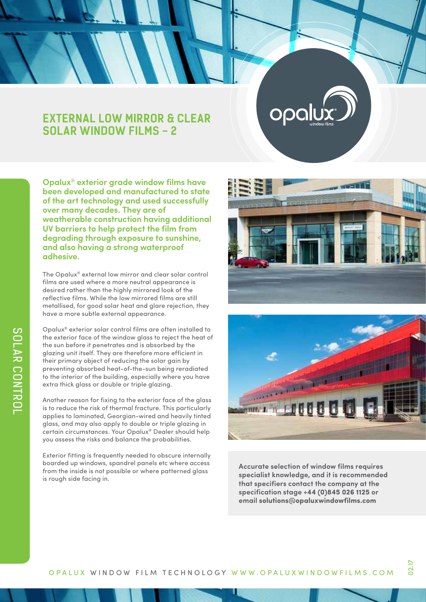# **EXTERNAL LOW MIRROR & CLEAR SOLAR WINDOW FILMS - 2**

**Opalux® exterior grade window films have been developed and manufactured to state of the art technology and used successfully over many decades. They are of weatherable construction having additional UV barriers to help protect the film from degrading through exposure to sunshine, and also having a strong waterproof adhesive.**

The Opalux® external low mirror and clear solar control films are used where a more neutral appearance is desired rather than the highly mirrored look of the reflective films. While the low mirrored films are still metallised, for good solar heat and glare rejection, they have a more subtle external appearance.

Opalux® exterior solar control films are often installed to the exterior face of the window glass to reject the heat of the sun before it penetrates and is absorbed by the glazing unit itself. They are therefore more efficient in their primary object of reducing the solar gain by preventing absorbed heat-of-the-sun being reradiated to the interior of the building, especially where you have extra thick glass or double or triple glazing.

Another reason for fixing to the exterior face of the glass is to reduce the risk of thermal fracture. This particularly applies to laminated, Georgian-wired and heavily tinted glass, and may also apply to double or triple glazing in certain circumstances. Your Opalux® Dealer should help you assess the risks and balance the probabilities.

Exterior fitting is frequently needed to obscure internally boarded up windows, spandrel panels etc where access from the inside is not possible or where patterned glass is rough side facing in.



opa



**Accurate selection of window films requires specialist knowledge, and it is recommended that specifiers contact the company at the specification stage +44 (0)845 026 1125 or email solutions@opaluxwindowfilms.com**